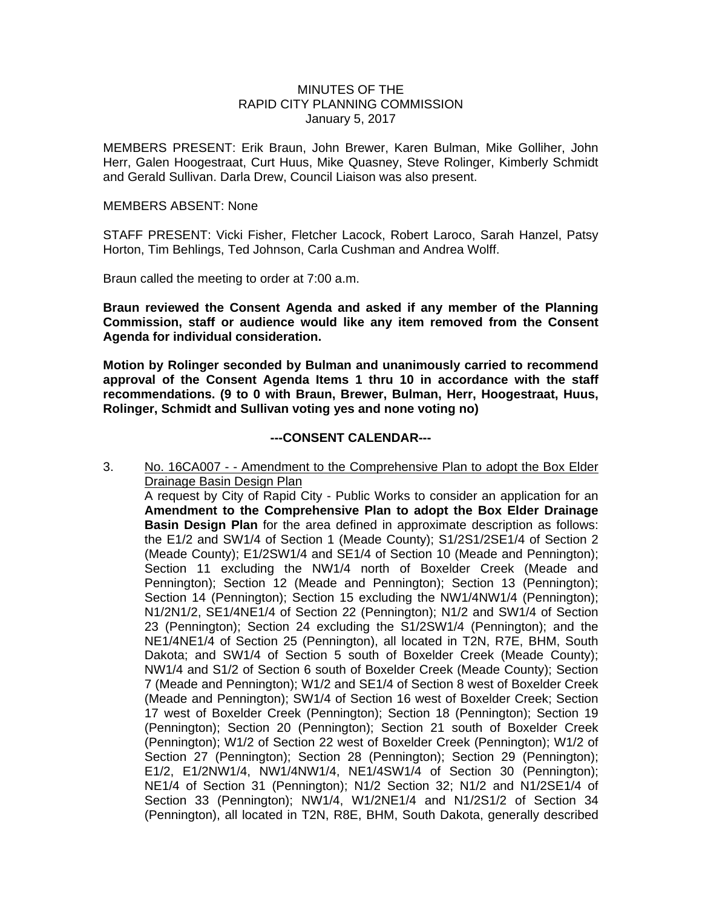## MINUTES OF THE RAPID CITY PLANNING COMMISSION January 5, 2017

MEMBERS PRESENT: Erik Braun, John Brewer, Karen Bulman, Mike Golliher, John Herr, Galen Hoogestraat, Curt Huus, Mike Quasney, Steve Rolinger, Kimberly Schmidt and Gerald Sullivan. Darla Drew, Council Liaison was also present.

## MEMBERS ABSENT: None

STAFF PRESENT: Vicki Fisher, Fletcher Lacock, Robert Laroco, Sarah Hanzel, Patsy Horton, Tim Behlings, Ted Johnson, Carla Cushman and Andrea Wolff.

Braun called the meeting to order at 7:00 a.m.

**Braun reviewed the Consent Agenda and asked if any member of the Planning Commission, staff or audience would like any item removed from the Consent Agenda for individual consideration.** 

**Motion by Rolinger seconded by Bulman and unanimously carried to recommend approval of the Consent Agenda Items 1 thru 10 in accordance with the staff recommendations. (9 to 0 with Braun, Brewer, Bulman, Herr, Hoogestraat, Huus, Rolinger, Schmidt and Sullivan voting yes and none voting no)** 

## **---CONSENT CALENDAR---**

3. No. 16CA007 - - Amendment to the Comprehensive Plan to adopt the Box Elder Drainage Basin Design Plan

A request by City of Rapid City - Public Works to consider an application for an **Amendment to the Comprehensive Plan to adopt the Box Elder Drainage Basin Design Plan** for the area defined in approximate description as follows: the E1/2 and SW1/4 of Section 1 (Meade County); S1/2S1/2SE1/4 of Section 2 (Meade County); E1/2SW1/4 and SE1/4 of Section 10 (Meade and Pennington); Section 11 excluding the NW1/4 north of Boxelder Creek (Meade and Pennington); Section 12 (Meade and Pennington); Section 13 (Pennington); Section 14 (Pennington); Section 15 excluding the NW1/4NW1/4 (Pennington); N1/2N1/2, SE1/4NE1/4 of Section 22 (Pennington); N1/2 and SW1/4 of Section 23 (Pennington); Section 24 excluding the S1/2SW1/4 (Pennington); and the NE1/4NE1/4 of Section 25 (Pennington), all located in T2N, R7E, BHM, South Dakota; and SW1/4 of Section 5 south of Boxelder Creek (Meade County); NW1/4 and S1/2 of Section 6 south of Boxelder Creek (Meade County); Section 7 (Meade and Pennington); W1/2 and SE1/4 of Section 8 west of Boxelder Creek (Meade and Pennington); SW1/4 of Section 16 west of Boxelder Creek; Section 17 west of Boxelder Creek (Pennington); Section 18 (Pennington); Section 19 (Pennington); Section 20 (Pennington); Section 21 south of Boxelder Creek (Pennington); W1/2 of Section 22 west of Boxelder Creek (Pennington); W1/2 of Section 27 (Pennington); Section 28 (Pennington); Section 29 (Pennington); E1/2, E1/2NW1/4, NW1/4NW1/4, NE1/4SW1/4 of Section 30 (Pennington); NE1/4 of Section 31 (Pennington); N1/2 Section 32; N1/2 and N1/2SE1/4 of Section 33 (Pennington); NW1/4, W1/2NE1/4 and N1/2S1/2 of Section 34 (Pennington), all located in T2N, R8E, BHM, South Dakota, generally described